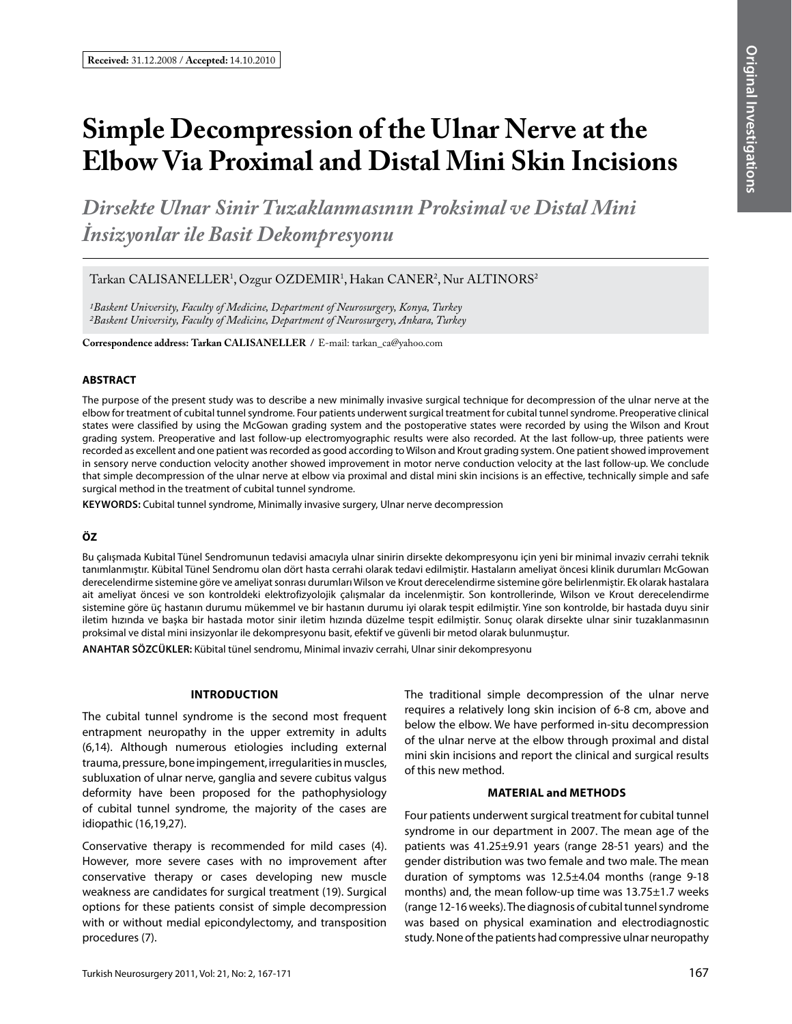# **Simple Decompression of the Ulnar Nerve at the Elbow Via Proximal and Distal Mini Skin Incisions**

*Dirsekte Ulnar Sinir Tuzaklanmasının Proksimal ve Distal Mini İnsizyonlar ile Basit Dekompresyonu*

Tarkan CALISANELLER<sup>1</sup>, Ozgur OZDEMIR<sup>1</sup>, Hakan CANER<sup>2</sup>, Nur ALTINORS<sup>2</sup>

*1Baskent University, Faculty of Medicine, Department of Neurosurgery, Konya, Turkey 2Baskent University, Faculty of Medicine, Department of Neurosurgery, Ankara, Turkey*

**Correspondence address: Tarkan CalIsaneller /** E-mail: tarkan\_ca@yahoo.com

### **ABSTRACT**

The purpose of the present study was to describe a new minimally invasive surgical technique for decompression of the ulnar nerve at the elbow for treatment of cubital tunnel syndrome. Four patients underwent surgical treatment for cubital tunnel syndrome. Preoperative clinical states were classified by using the McGowan grading system and the postoperative states were recorded by using the Wilson and Krout grading system. Preoperative and last follow-up electromyographic results were also recorded. At the last follow-up, three patients were recorded as excellent and one patient was recorded as good according to Wilson and Krout grading system. One patient showed improvement in sensory nerve conduction velocity another showed improvement in motor nerve conduction velocity at the last follow-up. We conclude that simple decompression of the ulnar nerve at elbow via proximal and distal mini skin incisions is an effective, technically simple and safe surgical method in the treatment of cubital tunnel syndrome.

**Keywords:** Cubital tunnel syndrome, Minimally invasive surgery, Ulnar nerve decompression

# **ÖZ**

Bu çalışmada Kubital Tünel Sendromunun tedavisi amacıyla ulnar sinirin dirsekte dekompresyonu için yeni bir minimal invaziv cerrahi teknik tanımlanmıştır. Kübital Tünel Sendromu olan dört hasta cerrahi olarak tedavi edilmiştir. Hastaların ameliyat öncesi klinik durumları McGowan derecelendirme sistemine göre ve ameliyat sonrası durumları Wilson ve Krout derecelendirme sistemine göre belirlenmiştir. Ek olarak hastalara ait ameliyat öncesi ve son kontroldeki elektrofizyolojik çalışmalar da incelenmiştir. Son kontrollerinde, Wilson ve Krout derecelendirme sistemine göre üç hastanın durumu mükemmel ve bir hastanın durumu iyi olarak tespit edilmiştir. Yine son kontrolde, bir hastada duyu sinir iletim hızında ve başka bir hastada motor sinir iletim hızında düzelme tespit edilmiştir. Sonuç olarak dirsekte ulnar sinir tuzaklanmasının proksimal ve distal mini insizyonlar ile dekompresyonu basit, efektif ve güvenli bir metod olarak bulunmuştur.

**ANAHTAR SÖZCÜKLER:** Kübital tünel sendromu, Minimal invaziv cerrahi, Ulnar sinir dekompresyonu

# **IntroductIon**

The cubital tunnel syndrome is the second most frequent entrapment neuropathy in the upper extremity in adults (6,14). Although numerous etiologies including external trauma, pressure, bone impingement, irregularities in muscles, subluxation of ulnar nerve, ganglia and severe cubitus valgus deformity have been proposed for the pathophysiology of cubital tunnel syndrome, the majority of the cases are idiopathic (16,19,27).

Conservative therapy is recommended for mild cases (4). However, more severe cases with no improvement after conservative therapy or cases developing new muscle weakness are candidates for surgical treatment (19). Surgical options for these patients consist of simple decompression with or without medial epicondylectomy, and transposition procedures (7).

The traditional simple decompression of the ulnar nerve requires a relatively long skin incision of 6-8 cm, above and below the elbow. We have performed in-situ decompression of the ulnar nerve at the elbow through proximal and distal mini skin incisions and report the clinical and surgical results of this new method.

# **MaterIal and methods**

Four patients underwent surgical treatment for cubital tunnel syndrome in our department in 2007. The mean age of the patients was 41.25±9.91 years (range 28-51 years) and the gender distribution was two female and two male. The mean duration of symptoms was 12.5±4.04 months (range 9-18 months) and, the mean follow-up time was 13.75±1.7 weeks (range 12-16 weeks). The diagnosis of cubital tunnel syndrome was based on physical examination and electrodiagnostic study. None of the patients had compressive ulnar neuropathy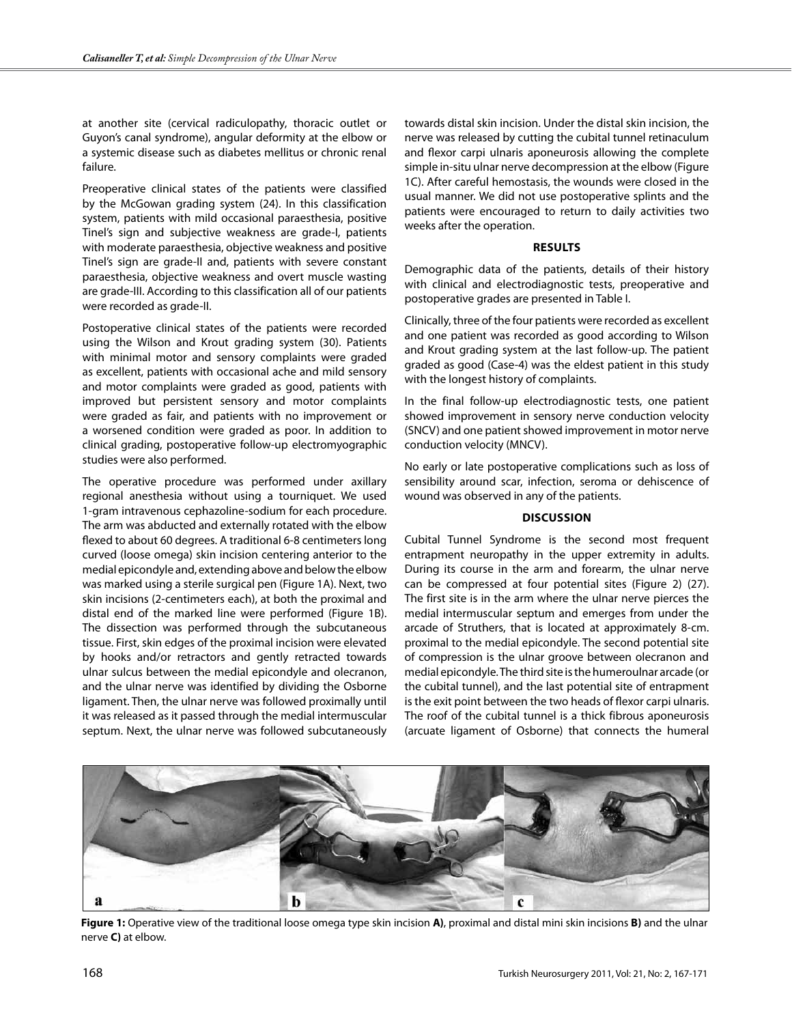at another site (cervical radiculopathy, thoracic outlet or Guyon's canal syndrome), angular deformity at the elbow or a systemic disease such as diabetes mellitus or chronic renal failure.

Preoperative clinical states of the patients were classified by the McGowan grading system (24). In this classification system, patients with mild occasional paraesthesia, positive Tinel's sign and subjective weakness are grade-I, patients with moderate paraesthesia, objective weakness and positive Tinel's sign are grade-II and, patients with severe constant paraesthesia, objective weakness and overt muscle wasting are grade-III. According to this classification all of our patients were recorded as grade-II.

Postoperative clinical states of the patients were recorded using the Wilson and Krout grading system (30). Patients with minimal motor and sensory complaints were graded as excellent, patients with occasional ache and mild sensory and motor complaints were graded as good, patients with improved but persistent sensory and motor complaints were graded as fair, and patients with no improvement or a worsened condition were graded as poor. In addition to clinical grading, postoperative follow-up electromyographic studies were also performed.

The operative procedure was performed under axillary regional anesthesia without using a tourniquet. We used 1-gram intravenous cephazoline-sodium for each procedure. The arm was abducted and externally rotated with the elbow flexed to about 60 degrees. A traditional 6-8 centimeters long curved (loose omega) skin incision centering anterior to the medial epicondyle and, extending above and below the elbow was marked using a sterile surgical pen (Figure 1A). Next, two skin incisions (2-centimeters each), at both the proximal and distal end of the marked line were performed (Figure 1B). The dissection was performed through the subcutaneous tissue. First, skin edges of the proximal incision were elevated by hooks and/or retractors and gently retracted towards ulnar sulcus between the medial epicondyle and olecranon, and the ulnar nerve was identified by dividing the Osborne ligament. Then, the ulnar nerve was followed proximally until it was released as it passed through the medial intermuscular septum. Next, the ulnar nerve was followed subcutaneously towards distal skin incision. Under the distal skin incision, the nerve was released by cutting the cubital tunnel retinaculum and flexor carpi ulnaris aponeurosis allowing the complete simple in-situ ulnar nerve decompression at the elbow (Figure 1C). After careful hemostasis, the wounds were closed in the usual manner. We did not use postoperative splints and the patients were encouraged to return to daily activities two weeks after the operation.

#### **Results**

Demographic data of the patients, details of their history with clinical and electrodiagnostic tests, preoperative and postoperative grades are presented in Table I.

Clinically, three of the four patients were recorded as excellent and one patient was recorded as good according to Wilson and Krout grading system at the last follow-up. The patient graded as good (Case-4) was the eldest patient in this study with the longest history of complaints.

In the final follow-up electrodiagnostic tests, one patient showed improvement in sensory nerve conduction velocity (SNCV) and one patient showed improvement in motor nerve conduction velocity (MNCV).

No early or late postoperative complications such as loss of sensibility around scar, infection, seroma or dehiscence of wound was observed in any of the patients.

### **DIscussIon**

Cubital Tunnel Syndrome is the second most frequent entrapment neuropathy in the upper extremity in adults. During its course in the arm and forearm, the ulnar nerve can be compressed at four potential sites (Figure 2) (27). The first site is in the arm where the ulnar nerve pierces the medial intermuscular septum and emerges from under the arcade of Struthers, that is located at approximately 8-cm. proximal to the medial epicondyle. The second potential site of compression is the ulnar groove between olecranon and medial epicondyle. The third site is the humeroulnar arcade (or the cubital tunnel), and the last potential site of entrapment is the exit point between the two heads of flexor carpi ulnaris. The roof of the cubital tunnel is a thick fibrous aponeurosis (arcuate ligament of Osborne) that connects the humeral



**Figure 1:** Operative view of the traditional loose omega type skin incision **A)**, proximal and distal mini skin incisions **B)** and the ulnar nerve **C)** at elbow.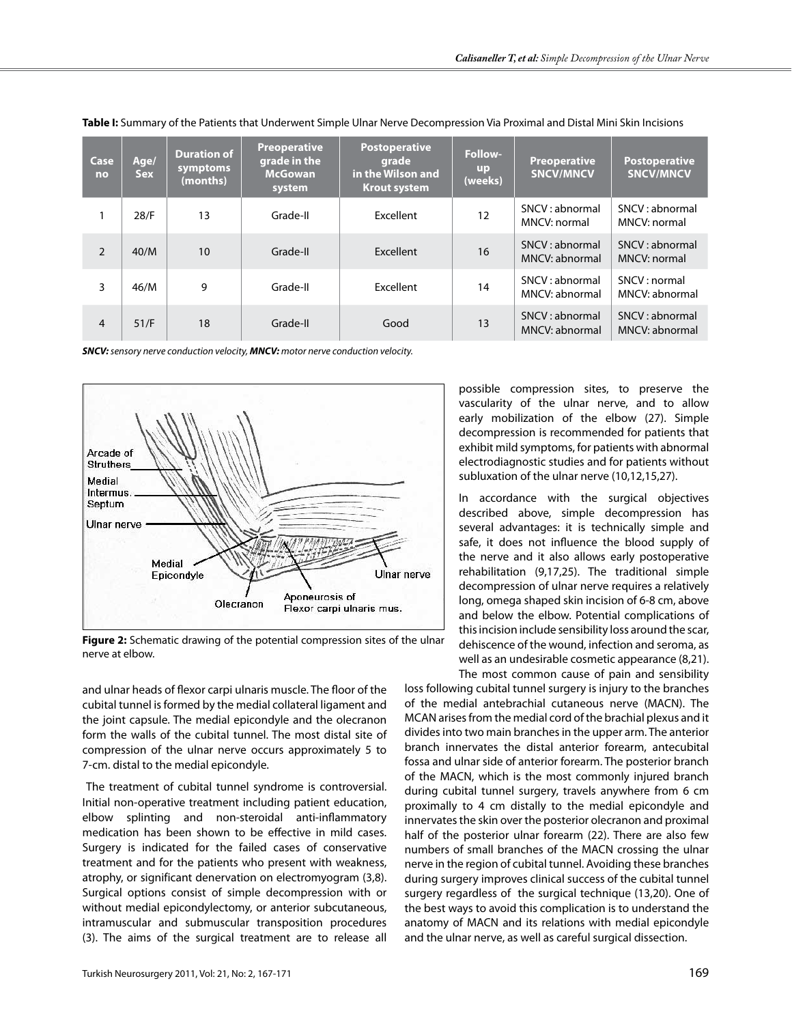| Case<br>no     | Age/<br><b>Sex</b> | <b>Duration of</b><br>symptoms<br>(months) | <b>Preoperative</b><br>grade in the<br><b>McGowan</b><br>system | <b>Postoperative</b><br>grade<br>in the Wilson and<br><b>Krout system</b> | <b>Follow-</b><br><b>up</b><br>(weeks) | <b>Preoperative</b><br><b>SNCV/MNCV</b> | <b>Postoperative</b><br><b>SNCV/MNCV</b> |
|----------------|--------------------|--------------------------------------------|-----------------------------------------------------------------|---------------------------------------------------------------------------|----------------------------------------|-----------------------------------------|------------------------------------------|
|                | 28/F               | 13                                         | Grade-II                                                        | Excellent                                                                 | 12                                     | SNCV: abnormal<br>MNCV: normal          | SNCV: abnormal<br>MNCV: normal           |
| $\overline{2}$ | 40/M               | 10                                         | Grade-II                                                        | <b>Fxcellent</b>                                                          | 16                                     | SNCV: abnormal<br>MNCV: abnormal        | SNCV: abnormal<br>MNCV: normal           |
| 3              | 46/M               | 9                                          | Grade-II                                                        | Excellent                                                                 | 14                                     | SNCV: abnormal<br>MNCV: abnormal        | SNCV:normal<br>MNCV: abnormal            |
| $\overline{4}$ | 51/F               | 18                                         | Grade-II                                                        | Good                                                                      | 13                                     | SNCV: abnormal<br>MNCV: abnormal        | SNCV: abnormal<br>MNCV: abnormal         |

**Table I:** Summary of the Patients that Underwent Simple Ulnar Nerve Decompression Via Proximal and Distal Mini Skin Incisions

*SNCV: sensory nerve conduction velocity, MNCV: motor nerve conduction velocity.*



**Figure 2:** Schematic drawing of the potential compression sites of the ulnar nerve at elbow.

and ulnar heads of flexor carpi ulnaris muscle. The floor of the cubital tunnel is formed by the medial collateral ligament and the joint capsule. The medial epicondyle and the olecranon form the walls of the cubital tunnel. The most distal site of compression of the ulnar nerve occurs approximately 5 to 7-cm. distal to the medial epicondyle.

 The treatment of cubital tunnel syndrome is controversial. Initial non-operative treatment including patient education, elbow splinting and non-steroidal anti-inflammatory medication has been shown to be effective in mild cases. Surgery is indicated for the failed cases of conservative treatment and for the patients who present with weakness, atrophy, or significant denervation on electromyogram (3,8). Surgical options consist of simple decompression with or without medial epicondylectomy, or anterior subcutaneous, intramuscular and submuscular transposition procedures (3). The aims of the surgical treatment are to release all possible compression sites, to preserve the vascularity of the ulnar nerve, and to allow early mobilization of the elbow (27). Simple decompression is recommended for patients that exhibit mild symptoms, for patients with abnormal electrodiagnostic studies and for patients without subluxation of the ulnar nerve (10,12,15,27).

In accordance with the surgical objectives described above, simple decompression has several advantages: it is technically simple and safe, it does not influence the blood supply of the nerve and it also allows early postoperative rehabilitation (9,17,25). The traditional simple decompression of ulnar nerve requires a relatively long, omega shaped skin incision of 6-8 cm, above and below the elbow. Potential complications of this incision include sensibility loss around the scar, dehiscence of the wound, infection and seroma, as well as an undesirable cosmetic appearance (8,21). The most common cause of pain and sensibility

loss following cubital tunnel surgery is injury to the branches of the medial antebrachial cutaneous nerve (MACN). The MCAN arises from the medial cord of the brachial plexus and it divides into two main branches in the upper arm. The anterior branch innervates the distal anterior forearm, antecubital fossa and ulnar side of anterior forearm. The posterior branch of the MACN, which is the most commonly injured branch during cubital tunnel surgery, travels anywhere from 6 cm proximally to 4 cm distally to the medial epicondyle and innervates the skin over the posterior olecranon and proximal half of the posterior ulnar forearm (22). There are also few numbers of small branches of the MACN crossing the ulnar nerve in the region of cubital tunnel. Avoiding these branches during surgery improves clinical success of the cubital tunnel surgery regardless of the surgical technique (13,20). One of the best ways to avoid this complication is to understand the anatomy of MACN and its relations with medial epicondyle and the ulnar nerve, as well as careful surgical dissection.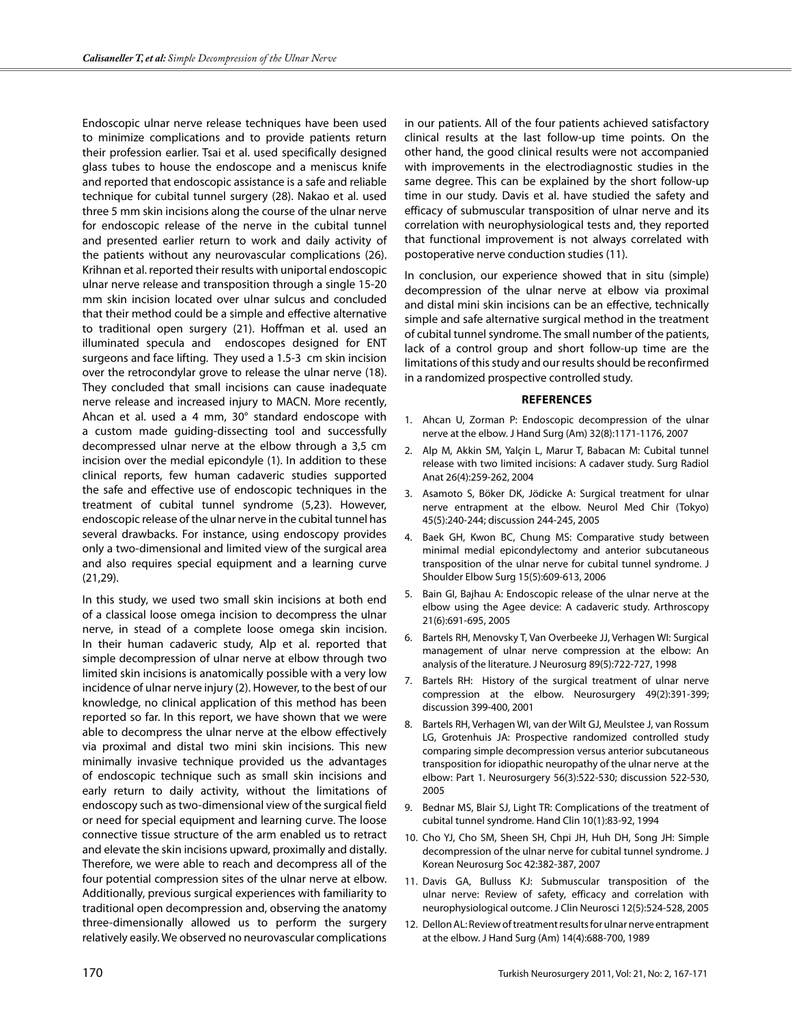Endoscopic ulnar nerve release techniques have been used to minimize complications and to provide patients return their profession earlier. Tsai et al. used specifically designed glass tubes to house the endoscope and a meniscus knife and reported that endoscopic assistance is a safe and reliable technique for cubital tunnel surgery (28). Nakao et al. used three 5 mm skin incisions along the course of the ulnar nerve for endoscopic release of the nerve in the cubital tunnel and presented earlier return to work and daily activity of the patients without any neurovascular complications (26). Krihnan et al. reported their results with uniportal endoscopic ulnar nerve release and transposition through a single 15-20 mm skin incision located over ulnar sulcus and concluded that their method could be a simple and effective alternative to traditional open surgery (21). Hoffman et al. used an illuminated specula and endoscopes designed for ENT surgeons and face lifting. They used a 1.5-3 cm skin incision over the retrocondylar grove to release the ulnar nerve (18). They concluded that small incisions can cause inadequate nerve release and increased injury to MACN. More recently, Ahcan et al. used a 4 mm, 30° standard endoscope with a custom made guiding-dissecting tool and successfully decompressed ulnar nerve at the elbow through a 3,5 cm incision over the medial epicondyle (1). In addition to these clinical reports, few human cadaveric studies supported the safe and effective use of endoscopic techniques in the treatment of cubital tunnel syndrome (5,23). However, endoscopic release of the ulnar nerve in the cubital tunnel has several drawbacks. For instance, using endoscopy provides only a two-dimensional and limited view of the surgical area and also requires special equipment and a learning curve (21,29).

In this study, we used two small skin incisions at both end of a classical loose omega incision to decompress the ulnar nerve, in stead of a complete loose omega skin incision. In their human cadaveric study, Alp et al. reported that simple decompression of ulnar nerve at elbow through two limited skin incisions is anatomically possible with a very low incidence of ulnar nerve injury (2). However, to the best of our knowledge, no clinical application of this method has been reported so far. In this report, we have shown that we were able to decompress the ulnar nerve at the elbow effectively via proximal and distal two mini skin incisions. This new minimally invasive technique provided us the advantages of endoscopic technique such as small skin incisions and early return to daily activity, without the limitations of endoscopy such as two-dimensional view of the surgical field or need for special equipment and learning curve. The loose connective tissue structure of the arm enabled us to retract and elevate the skin incisions upward, proximally and distally. Therefore, we were able to reach and decompress all of the four potential compression sites of the ulnar nerve at elbow. Additionally, previous surgical experiences with familiarity to traditional open decompression and, observing the anatomy three-dimensionally allowed us to perform the surgery relatively easily. We observed no neurovascular complications in our patients. All of the four patients achieved satisfactory clinical results at the last follow-up time points. On the other hand, the good clinical results were not accompanied with improvements in the electrodiagnostic studies in the same degree. This can be explained by the short follow-up time in our study. Davis et al. have studied the safety and efficacy of submuscular transposition of ulnar nerve and its correlation with neurophysiological tests and, they reported that functional improvement is not always correlated with postoperative nerve conduction studies (11).

In conclusion, our experience showed that in situ (simple) decompression of the ulnar nerve at elbow via proximal and distal mini skin incisions can be an effective, technically simple and safe alternative surgical method in the treatment of cubital tunnel syndrome. The small number of the patients, lack of a control group and short follow-up time are the limitations of this study and our results should be reconfirmed in a randomized prospective controlled study.

#### **References**

- 1. Ahcan U, Zorman P: Endoscopic decompression of the ulnar nerve at the elbow. J Hand Surg (Am) 32(8):1171-1176, 2007
- 2. Alp M, Akkin SM, Yalçin L, Marur T, Babacan M: Cubital tunnel release with two limited incisions: A cadaver study. Surg Radiol Anat 26(4):259-262, 2004
- 3. Asamoto S, Böker DK, Jödicke A: Surgical treatment for ulnar nerve entrapment at the elbow. Neurol Med Chir (Tokyo) 45(5):240-244; discussion 244-245, 2005
- 4. Baek GH, Kwon BC, Chung MS: Comparative study between minimal medial epicondylectomy and anterior subcutaneous transposition of the ulnar nerve for cubital tunnel syndrome. J Shoulder Elbow Surg 15(5):609-613, 2006
- 5. Bain GI, Bajhau A: Endoscopic release of the ulnar nerve at the elbow using the Agee device: A cadaveric study. Arthroscopy 21(6):691-695, 2005
- 6. Bartels RH, Menovsky T, Van Overbeeke JJ, Verhagen WI: Surgical management of ulnar nerve compression at the elbow: An analysis of the literature. J Neurosurg 89(5):722-727, 1998
- 7. Bartels RH: History of the surgical treatment of ulnar nerve compression at the elbow. Neurosurgery 49(2):391-399; discussion 399-400, 2001
- 8. Bartels RH, Verhagen WI, van der Wilt GJ, Meulstee J, van Rossum LG, Grotenhuis JA: Prospective randomized controlled study comparing simple decompression versus anterior subcutaneous transposition for idiopathic neuropathy of the ulnar nerve at the elbow: Part 1. Neurosurgery 56(3):522-530; discussion 522-530, 2005
- 9. Bednar MS, Blair SJ, Light TR: Complications of the treatment of cubital tunnel syndrome. Hand Clin 10(1):83-92, 1994
- 10. Cho YJ, Cho SM, Sheen SH, Chpi JH, Huh DH, Song JH: Simple decompression of the ulnar nerve for cubital tunnel syndrome. J Korean Neurosurg Soc 42:382-387, 2007
- 11. Davis GA, Bulluss KJ: Submuscular transposition of the ulnar nerve: Review of safety, efficacy and correlation with neurophysiological outcome. J Clin Neurosci 12(5):524-528, 2005
- 12. Dellon AL: Review of treatment results for ulnar nerve entrapment at the elbow. J Hand Surg (Am) 14(4):688-700, 1989